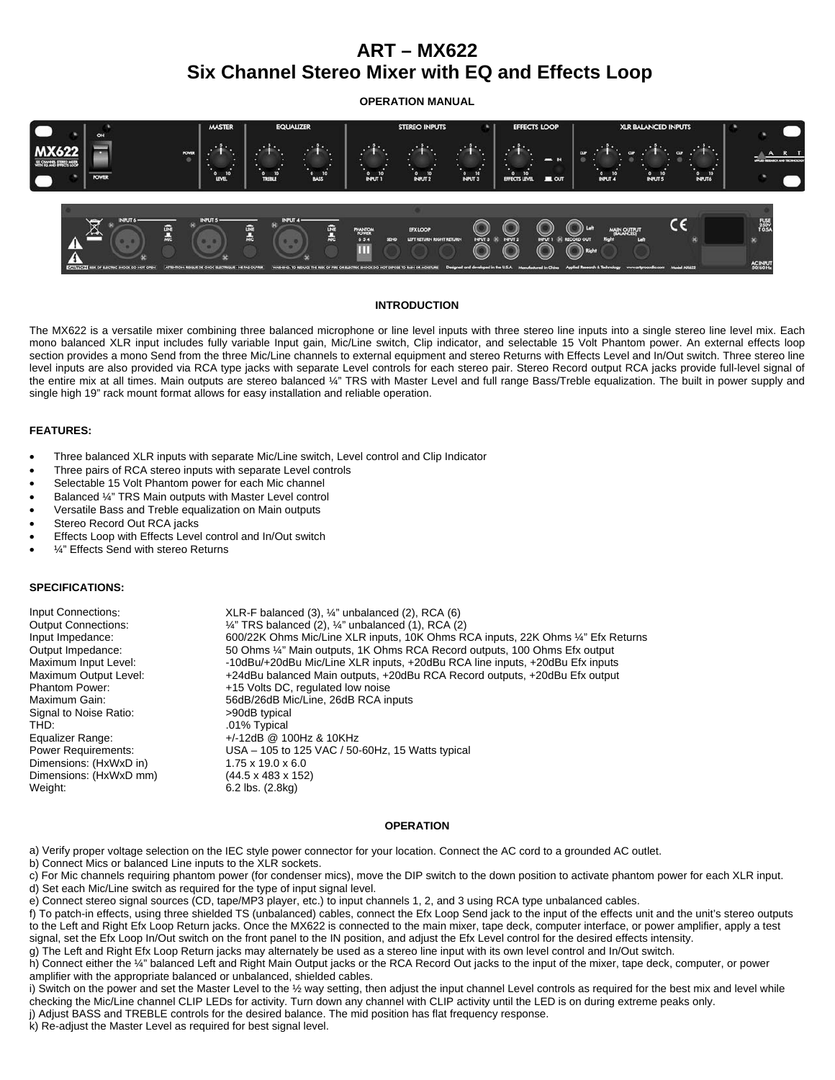# **ART – MX622 Six Channel Stereo Mixer with EQ and Effects Loop**

**OPERATION MANUAL** 



### **INTRODUCTION**

The MX622 is a versatile mixer combining three balanced microphone or line level inputs with three stereo line inputs into a single stereo line level mix. Each mono balanced XLR input includes fully variable Input gain, Mic/Line switch, Clip indicator, and selectable 15 Volt Phantom power. An external effects loop section provides a mono Send from the three Mic/Line channels to external equipment and stereo Returns with Effects Level and In/Out switch. Three stereo line level inputs are also provided via RCA type jacks with separate Level controls for each stereo pair. Stereo Record output RCA jacks provide full-level signal of the entire mix at all times. Main outputs are stereo balanced ¼" TRS with Master Level and full range Bass/Treble equalization. The built in power supply and single high 19" rack mount format allows for easy installation and reliable operation.

### **FEATURES:**

- Three balanced XLR inputs with separate Mic/Line switch, Level control and Clip Indicator
- Three pairs of RCA stereo inputs with separate Level controls
- Selectable 15 Volt Phantom power for each Mic channel
- Balanced ¼" TRS Main outputs with Master Level control
- Versatile Bass and Treble equalization on Main outputs
- Stereo Record Out RCA jacks
- Effects Loop with Effects Level control and In/Out switch
- ¼" Effects Send with stereo Returns

## **SPECIFICATIONS:**

| Input Connections:         | $XLR-F$ balanced (3), $\frac{1}{4}$ " unbalanced (2), RCA (6)                    |
|----------------------------|----------------------------------------------------------------------------------|
| <b>Output Connections:</b> | $\frac{1}{4}$ " TRS balanced (2), $\frac{1}{4}$ " unbalanced (1), RCA (2)        |
| Input Impedance:           | 600/22K Ohms Mic/Line XLR inputs, 10K Ohms RCA inputs, 22K Ohms 1/4" Efx Returns |
| Output Impedance:          | 50 Ohms ¼" Main outputs, 1K Ohms RCA Record outputs, 100 Ohms Efx output         |
| Maximum Input Level:       | -10dBu/+20dBu Mic/Line XLR inputs, +20dBu RCA line inputs, +20dBu Efx inputs     |
| Maximum Output Level:      | +24dBu balanced Main outputs, +20dBu RCA Record outputs, +20dBu Efx output       |
| <b>Phantom Power:</b>      | +15 Volts DC, regulated low noise                                                |
| Maximum Gain:              | 56dB/26dB Mic/Line, 26dB RCA inputs                                              |
| Signal to Noise Ratio:     | >90dB typical                                                                    |
| THD:                       | .01% Typical                                                                     |
| Equalizer Range:           | $+/-12$ dB @ 100Hz & 10KHz                                                       |
| <b>Power Requirements:</b> | USA – 105 to 125 VAC / 50-60Hz, 15 Watts typical                                 |
| Dimensions: (HxWxD in)     | $1.75 \times 19.0 \times 6.0$                                                    |
| Dimensions: (HxWxD mm)     | $(44.5 \times 483 \times 152)$                                                   |
| Weight:                    | $6.2$ lbs. $(2.8)$ kg)                                                           |
|                            |                                                                                  |

## **OPERATION**

a) Verify proper voltage selection on the IEC style power connector for your location. Connect the AC cord to a grounded AC outlet.

b) Connect Mics or balanced Line inputs to the XLR sockets.

c) For Mic channels requiring phantom power (for condenser mics), move the DIP switch to the down position to activate phantom power for each XLR input. d) Set each Mic/Line switch as required for the type of input signal level.

k) Re-adjust the Master Level as required for best signal level.

e) Connect stereo signal sources (CD, tape/MP3 player, etc.) to input channels 1, 2, and 3 using RCA type unbalanced cables.

f) To patch-in effects, using three shielded TS (unbalanced) cables, connect the Efx Loop Send jack to the input of the effects unit and the unit's stereo outputs to the Left and Right Efx Loop Return jacks. Once the MX622 is connected to the main mixer, tape deck, computer interface, or power amplifier, apply a test signal, set the Efx Loop In/Out switch on the front panel to the IN position, and adjust the Efx Level control for the desired effects intensity.

g) The Left and Right Efx Loop Return jacks may alternately be used as a stereo line input with its own level control and In/Out switch.

h) Connect either the ¼" balanced Left and Right Main Output jacks or the RCA Record Out jacks to the input of the mixer, tape deck, computer, or power amplifier with the appropriate balanced or unbalanced, shielded cables.

i) Switch on the power and set the Master Level to the 1/2 way setting, then adjust the input channel Level controls as required for the best mix and level while checking the Mic/Line channel CLIP LEDs for activity. Turn down any channel with CLIP activity until the LED is on during extreme peaks only.

j) Adjust BASS and TREBLE controls for the desired balance. The mid position has flat frequency response.